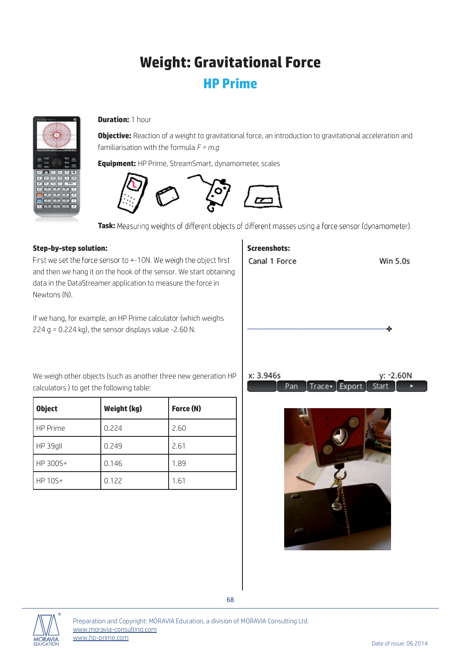## Weight: Gravitational Force HP Prime



## **Duration: 1 hour**

**Objective:** Reaction of a weight to gravitational force, an introduction to gravitational acceleration and familiarisation with the formula *F = m.g*

Equipment: HP Prime, StreamSmart, dynamometer, scales



Task: Measuring weights of different objects of different masses using a force sensor (dynamometer).

## Step-by-step solution:

First we set the force sensor to +-10N. We weigh the object first and then we hang it on the hook of the sensor. We start obtaining data in the DataStreamer application to measure the force in Newtons (N).

If we hang, for example, an HP Prime calculator (which weighs 224 g = 0.224 kg), the sensor displays value -2.60 N.

We weigh other objects (such as another three new generation HP calculators ) to get the following table:

| <b>Object</b> | Weight (kg) | Force (N) |  |
|---------------|-------------|-----------|--|
| HP Prime      | 0.224       | 2.60      |  |
| HP 39gll      | 0.249       | 2.61      |  |
| HP 300S+      | 0.146       | 1.89      |  |
| HP 10S+       | 0.122       | 1.61      |  |

## Screenshots:Canal 1 Force **Win 5.0s** x: 3.946s y: -2.60N Trace Export Pan Start





68